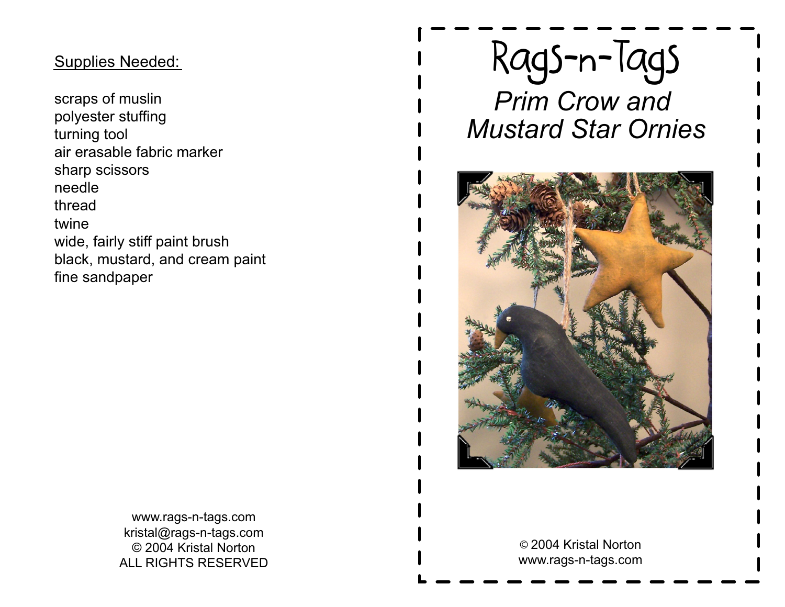## Supplies Needed:

scraps of muslin polyester stuffingturning tool air erasable fabric markersharp scissorsneedle thread twine wide, fairly stiff paint brush black, mustard, and cream paintfine sandpaper

# Rags-n-Tags

 *Prim Crow and Mustard Star Ornies*



www.rags-n-tags.com kristal@rags-n-tags.com © 2004 Kristal NortonALL RIGHTS RESERVED

© 2004 Kristal Nortonwww.rags-n-tags.com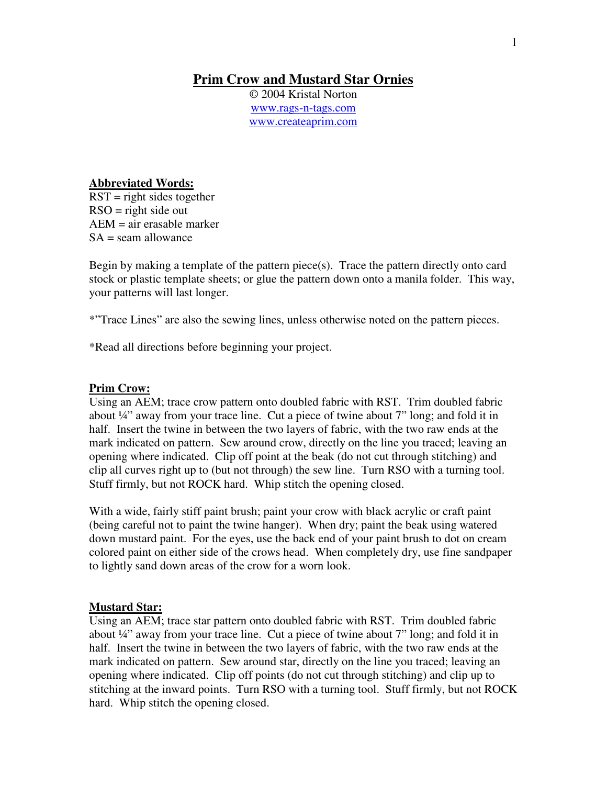### **Prim Crow and Mustard Star Ornies**

© 2004 Kristal Norton www.rags-n-tags.com www.createaprim.com

#### **Abbreviated Words:**

 $RST =$  right sides together  $RSO =$  right side out AEM = air erasable marker  $SA =$  seam allowance

Begin by making a template of the pattern piece(s). Trace the pattern directly onto card stock or plastic template sheets; or glue the pattern down onto a manila folder. This way, your patterns will last longer.

\*"Trace Lines" are also the sewing lines, unless otherwise noted on the pattern pieces.

\*Read all directions before beginning your project.

#### **Prim Crow:**

Using an AEM; trace crow pattern onto doubled fabric with RST. Trim doubled fabric about ¼" away from your trace line. Cut a piece of twine about 7" long; and fold it in half. Insert the twine in between the two layers of fabric, with the two raw ends at the mark indicated on pattern. Sew around crow, directly on the line you traced; leaving an opening where indicated. Clip off point at the beak (do not cut through stitching) and clip all curves right up to (but not through) the sew line. Turn RSO with a turning tool. Stuff firmly, but not ROCK hard. Whip stitch the opening closed.

With a wide, fairly stiff paint brush; paint your crow with black acrylic or craft paint (being careful not to paint the twine hanger). When dry; paint the beak using watered down mustard paint. For the eyes, use the back end of your paint brush to dot on cream colored paint on either side of the crows head. When completely dry, use fine sandpaper to lightly sand down areas of the crow for a worn look.

#### **Mustard Star:**

Using an AEM; trace star pattern onto doubled fabric with RST. Trim doubled fabric about  $\frac{1}{4}$  away from your trace line. Cut a piece of twine about 7" long; and fold it in half. Insert the twine in between the two layers of fabric, with the two raw ends at the mark indicated on pattern. Sew around star, directly on the line you traced; leaving an opening where indicated. Clip off points (do not cut through stitching) and clip up to stitching at the inward points. Turn RSO with a turning tool. Stuff firmly, but not ROCK hard. Whip stitch the opening closed.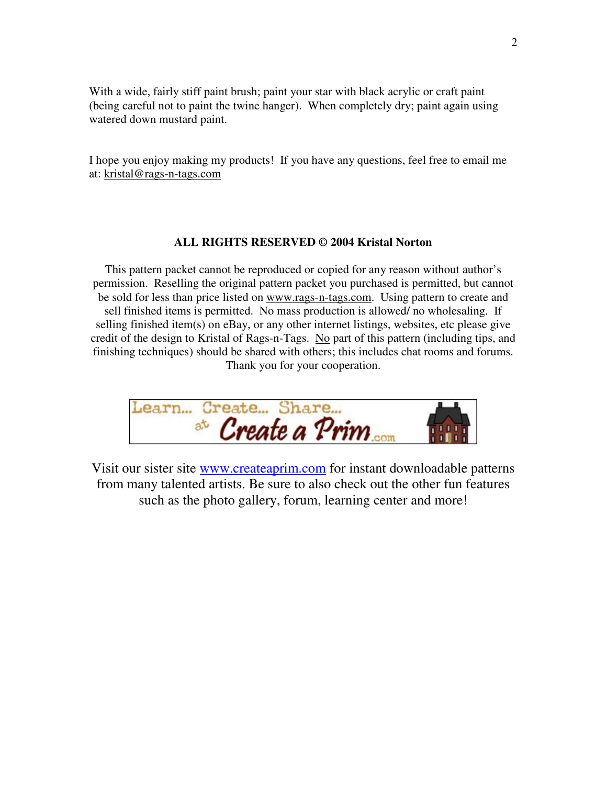With a wide, fairly stiff paint brush; paint your star with black acrylic or craft paint (being careful not to paint the twine hanger). When completely dry; paint again using watered down mustard paint.

I hope you enjoy making my products! If you have any questions, feel free to email me at: kristal@rags-n-tags.com

#### **ALL RIGHTS RESERVED © 2004 Kristal Norton**

This pattern packet cannot be reproduced or copied for any reason without author's permission. Reselling the original pattern packet you purchased is permitted, but cannot be sold for less than price listed on www.rags-n-tags.com. Using pattern to create and sell finished items is permitted. No mass production is allowed/ no wholesaling. If selling finished item(s) on eBay, or any other internet listings, websites, etc please give credit of the design to Kristal of Rags-n-Tags. No part of this pattern (including tips, and finishing techniques) should be shared with others; this includes chat rooms and forums. Thank you for your cooperation.

earn... Create... Share.. at Create a Prim

Visit our sister site www.createaprim.com for instant downloadable patterns from many talented artists. Be sure to also check out the other fun features such as the photo gallery, forum, learning center and more!